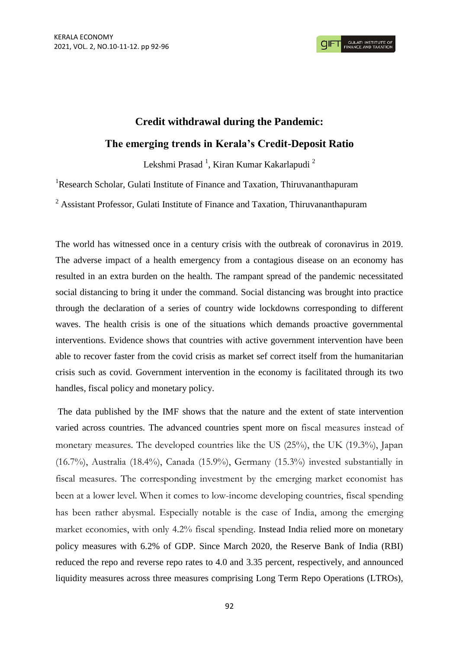## **Credit withdrawal during the Pandemic: The emerging trends in Kerala's Credit-Deposit Ratio**

Lekshmi Prasad<sup>1</sup>, Kiran Kumar Kakarlapudi <sup>2</sup>

<sup>1</sup>Research Scholar, Gulati Institute of Finance and Taxation, Thiruvananthapuram

<sup>2</sup> Assistant Professor, Gulati Institute of Finance and Taxation, Thiruvananthapuram

The world has witnessed once in a century crisis with the outbreak of coronavirus in 2019. The adverse impact of a health emergency from a contagious disease on an economy has resulted in an extra burden on the health. The rampant spread of the pandemic necessitated social distancing to bring it under the command. Social distancing was brought into practice through the declaration of a series of country wide lockdowns corresponding to different waves. The health crisis is one of the situations which demands proactive governmental interventions. Evidence shows that countries with active government intervention have been able to recover faster from the covid crisis as market sef correct itself from the humanitarian crisis such as covid. Government intervention in the economy is facilitated through its two handles, fiscal policy and monetary policy.

The data published by the IMF shows that the nature and the extent of state intervention varied across countries. The advanced countries spent more on fiscal measures instead of monetary measures. The developed countries like the US (25%), the UK (19.3%), Japan (16.7%), Australia (18.4%), Canada (15.9%), Germany (15.3%) invested substantially in fiscal measures. The corresponding investment by the emerging market economist has been at a lower level. When it comes to low-income developing countries, fiscal spending has been rather abysmal. Especially notable is the case of India, among the emerging market economies, with only 4.2% fiscal spending. Instead India relied more on monetary policy measures with 6.2% of GDP. Since March 2020, the Reserve Bank of India (RBI) reduced the repo and reverse repo rates to 4.0 and 3.35 percent, respectively, and announced liquidity measures across three measures comprising Long Term Repo Operations (LTROs),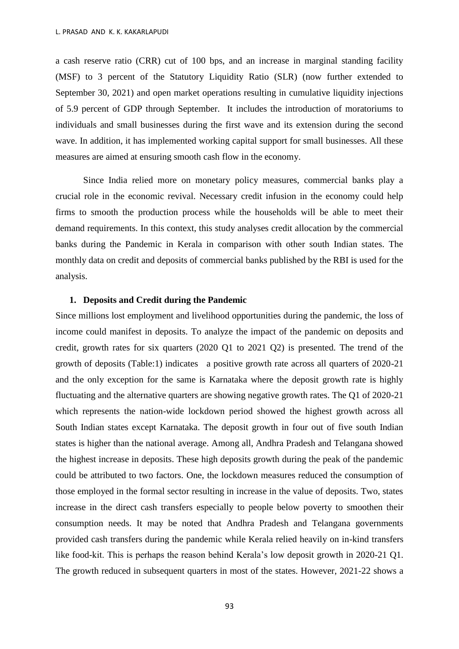a cash reserve ratio (CRR) cut of 100 bps, and an increase in marginal standing facility (MSF) to 3 percent of the Statutory Liquidity Ratio (SLR) (now further extended to September 30, 2021) and open market operations resulting in cumulative liquidity injections of 5.9 percent of GDP through September. It includes the introduction of moratoriums to individuals and small businesses during the first wave and its extension during the second wave. In addition, it has implemented working capital support for small businesses. All these measures are aimed at ensuring smooth cash flow in the economy.

Since India relied more on monetary policy measures, commercial banks play a crucial role in the economic revival. Necessary credit infusion in the economy could help firms to smooth the production process while the households will be able to meet their demand requirements. In this context, this study analyses credit allocation by the commercial banks during the Pandemic in Kerala in comparison with other south Indian states. The monthly data on credit and deposits of commercial banks published by the RBI is used for the analysis.

## **1. Deposits and Credit during the Pandemic**

Since millions lost employment and livelihood opportunities during the pandemic, the loss of income could manifest in deposits. To analyze the impact of the pandemic on deposits and credit, growth rates for six quarters (2020 Q1 to 2021 Q2) is presented. The trend of the growth of deposits (Table:1) indicates a positive growth rate across all quarters of 2020-21 and the only exception for the same is Karnataka where the deposit growth rate is highly fluctuating and the alternative quarters are showing negative growth rates. The Q1 of 2020-21 which represents the nation-wide lockdown period showed the highest growth across all South Indian states except Karnataka. The deposit growth in four out of five south Indian states is higher than the national average. Among all, Andhra Pradesh and Telangana showed the highest increase in deposits. These high deposits growth during the peak of the pandemic could be attributed to two factors. One, the lockdown measures reduced the consumption of those employed in the formal sector resulting in increase in the value of deposits. Two, states increase in the direct cash transfers especially to people below poverty to smoothen their consumption needs. It may be noted that Andhra Pradesh and Telangana governments provided cash transfers during the pandemic while Kerala relied heavily on in-kind transfers like food-kit. This is perhaps the reason behind Kerala's low deposit growth in 2020-21 Q1. The growth reduced in subsequent quarters in most of the states. However, 2021-22 shows a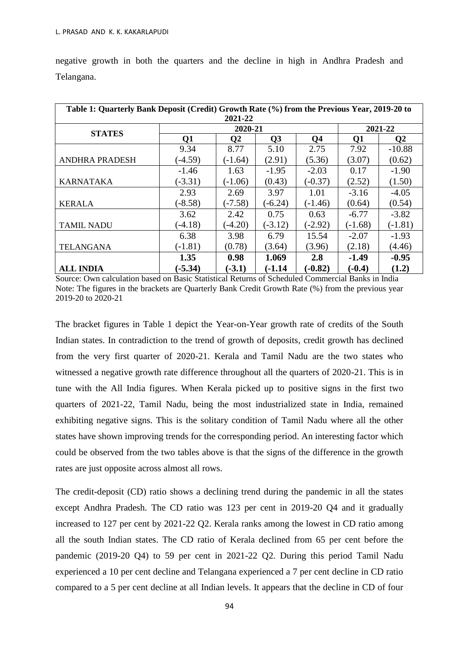| Table 1: Quarterly Bank Deposit (Credit) Growth Rate (%) from the Previous Year, 2019-20 to<br>2021-22 |           |              |                |                |           |               |
|--------------------------------------------------------------------------------------------------------|-----------|--------------|----------------|----------------|-----------|---------------|
| <b>STATES</b>                                                                                          | 2020-21   |              |                |                | 2021-22   |               |
|                                                                                                        | Q1        | $\mathbf{Q}$ | Q <sub>3</sub> | Q <sub>4</sub> | Q1        | $\mathbf{Q}2$ |
|                                                                                                        | 9.34      | 8.77         | 5.10           | 2.75           | 7.92      | $-10.88$      |
| <b>ANDHRA PRADESH</b>                                                                                  | $(-4.59)$ | $(-1.64)$    | (2.91)         | (5.36)         | (3.07)    | (0.62)        |
|                                                                                                        | $-1.46$   | 1.63         | $-1.95$        | $-2.03$        | 0.17      | $-1.90$       |
| <b>KARNATAKA</b>                                                                                       | $(-3.31)$ | $(-1.06)$    | (0.43)         | $(-0.37)$      | (2.52)    | (1.50)        |
|                                                                                                        | 2.93      | 2.69         | 3.97           | 1.01           | $-3.16$   | $-4.05$       |
| <b>KERALA</b>                                                                                          | $(-8.58)$ | $-7.58$      | $(-6.24)$      | $(-1.46)$      | (0.64)    | (0.54)        |
|                                                                                                        | 3.62      | 2.42         | 0.75           | 0.63           | $-6.77$   | $-3.82$       |
| <b>TAMIL NADU</b>                                                                                      | $(-4.18)$ | $(-4.20)$    | $(-3.12)$      | $(-2.92)$      | $(-1.68)$ | $(-1.81)$     |
|                                                                                                        | 6.38      | 3.98         | 6.79           | 15.54          | $-2.07$   | $-1.93$       |
| <b>TELANGANA</b>                                                                                       | $(-1.81)$ | (0.78)       | (3.64)         | (3.96)         | (2.18)    | (4.46)        |
|                                                                                                        | 1.35      | 0.98         | 1.069          | 2.8            | $-1.49$   | $-0.95$       |
| <b>ALL INDIA</b>                                                                                       | $(-5.34)$ | $(-3.1)$     | $(-1.14)$      | $(-0.82)$      | $(-0.4)$  | (1.2)         |

negative growth in both the quarters and the decline in high in Andhra Pradesh and Telangana.

Source: Own calculation based on Basic Statistical Returns of Scheduled Commercial Banks in India Note: The figures in the brackets are Quarterly Bank Credit Growth Rate (%) from the previous year 2019-20 to 2020-21

The bracket figures in Table 1 depict the Year-on-Year growth rate of credits of the South Indian states. In contradiction to the trend of growth of deposits, credit growth has declined from the very first quarter of 2020-21. Kerala and Tamil Nadu are the two states who witnessed a negative growth rate difference throughout all the quarters of 2020-21. This is in tune with the All India figures. When Kerala picked up to positive signs in the first two quarters of 2021-22, Tamil Nadu, being the most industrialized state in India, remained exhibiting negative signs. This is the solitary condition of Tamil Nadu where all the other states have shown improving trends for the corresponding period. An interesting factor which could be observed from the two tables above is that the signs of the difference in the growth rates are just opposite across almost all rows.

The credit-deposit (CD) ratio shows a declining trend during the pandemic in all the states except Andhra Pradesh. The CD ratio was 123 per cent in 2019-20 Q4 and it gradually increased to 127 per cent by 2021-22 Q2. Kerala ranks among the lowest in CD ratio among all the south Indian states. The CD ratio of Kerala declined from 65 per cent before the pandemic (2019-20 Q4) to 59 per cent in 2021-22 Q2. During this period Tamil Nadu experienced a 10 per cent decline and Telangana experienced a 7 per cent decline in CD ratio compared to a 5 per cent decline at all Indian levels. It appears that the decline in CD of four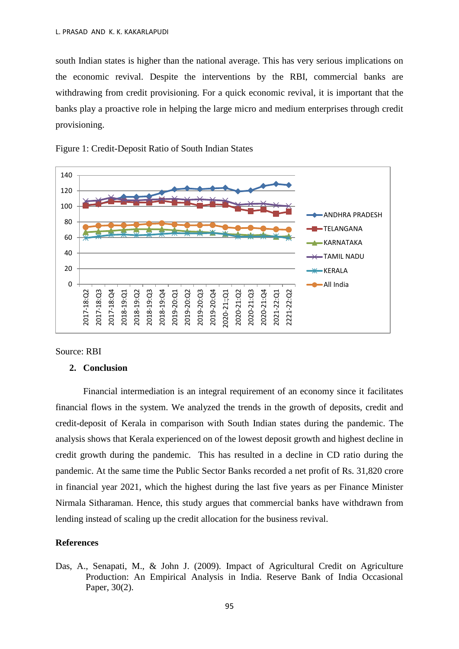south Indian states is higher than the national average. This has very serious implications on the economic revival. Despite the interventions by the RBI, commercial banks are withdrawing from credit provisioning. For a quick economic revival, it is important that the banks play a proactive role in helping the large micro and medium enterprises through credit provisioning.



Figure 1: Credit-Deposit Ratio of South Indian States

Source: RBI

## **2. Conclusion**

Financial intermediation is an integral requirement of an economy since it facilitates financial flows in the system. We analyzed the trends in the growth of deposits, credit and credit-deposit of Kerala in comparison with South Indian states during the pandemic. The analysis shows that Kerala experienced on of the lowest deposit growth and highest decline in credit growth during the pandemic. This has resulted in a decline in CD ratio during the pandemic. At the same time the Public Sector Banks recorded a net profit of Rs. 31,820 crore in financial year 2021, which the highest during the last five years as per Finance Minister Nirmala Sitharaman. Hence, this study argues that commercial banks have withdrawn from lending instead of scaling up the credit allocation for the business revival.

## **References**

Das, A., Senapati, M., & John J. (2009). Impact of Agricultural Credit on Agriculture Production: An Empirical Analysis in India. Reserve Bank of India Occasional Paper, 30(2).